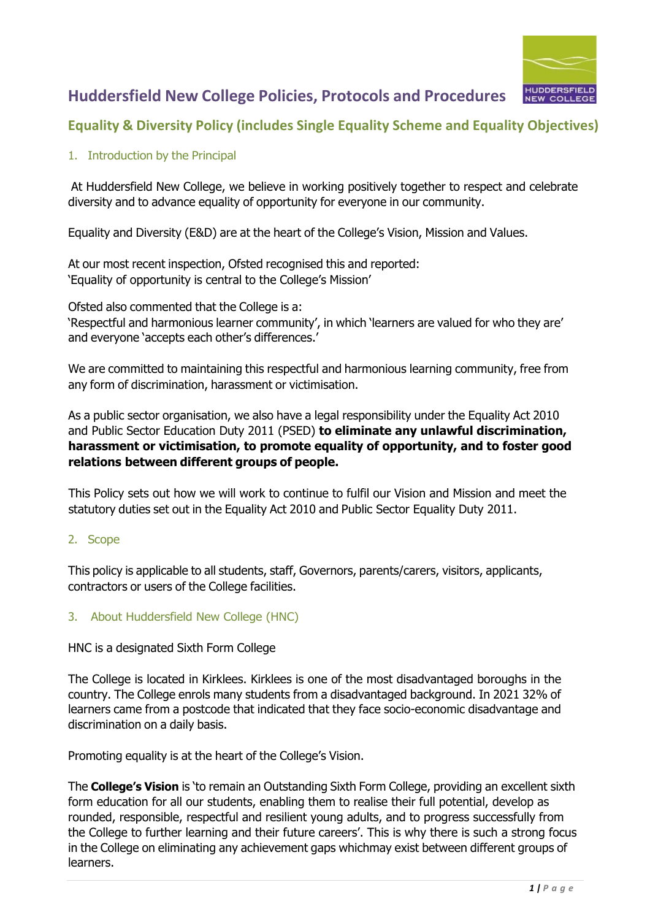

### **Equality & Diversity Policy (includes Single Equality Scheme and Equality Objectives)**

### 1. Introduction by the Principal

At Huddersfield New College, we believe in working positively together to respect and celebrate diversity and to advance equality of opportunity for everyone in our community.

Equality and Diversity (E&D) are at the heart of the College's Vision, Mission and Values.

At our most recent inspection, Ofsted recognised this and reported: 'Equality of opportunity is central to the College's Mission'

Ofsted also commented that the College is a: 'Respectful and harmonious learner community', in which 'learners are valued for who they are' and everyone 'accepts each other's differences.'

We are committed to maintaining this respectful and harmonious learning community, free from any form of discrimination, harassment or victimisation.

As a public sector organisation, we also have a legal responsibility under the Equality Act 2010 and Public Sector Education Duty 2011 (PSED) **to eliminate any unlawful discrimination, harassment or victimisation, to promote equality of opportunity, and to foster good relations between different groups of people.**

This Policy sets out how we will work to continue to fulfil our Vision and Mission and meet the statutory duties set out in the Equality Act 2010 and Public Sector Equality Duty 2011.

### 2. Scope

This policy is applicable to all students, staff, Governors, parents/carers, visitors, applicants, contractors or users of the College facilities.

### 3. About Huddersfield New College (HNC)

HNC is a designated Sixth Form College

The College is located in Kirklees. Kirklees is one of the most disadvantaged boroughs in the country. The College enrols many students from a disadvantaged background. In 2021 32% of learners came from a postcode that indicated that they face socio-economic disadvantage and discrimination on a daily basis.

Promoting equality is at the heart of the College's Vision.

The **College's Vision** is 'to remain an Outstanding Sixth Form College, providing an excellent sixth form education for all our students, enabling them to realise their full potential, develop as rounded, responsible, respectful and resilient young adults, and to progress successfully from the College to further learning and their future careers'. This is why there is such a strong focus in the College on eliminating any achievement gaps whichmay exist between different groups of learners.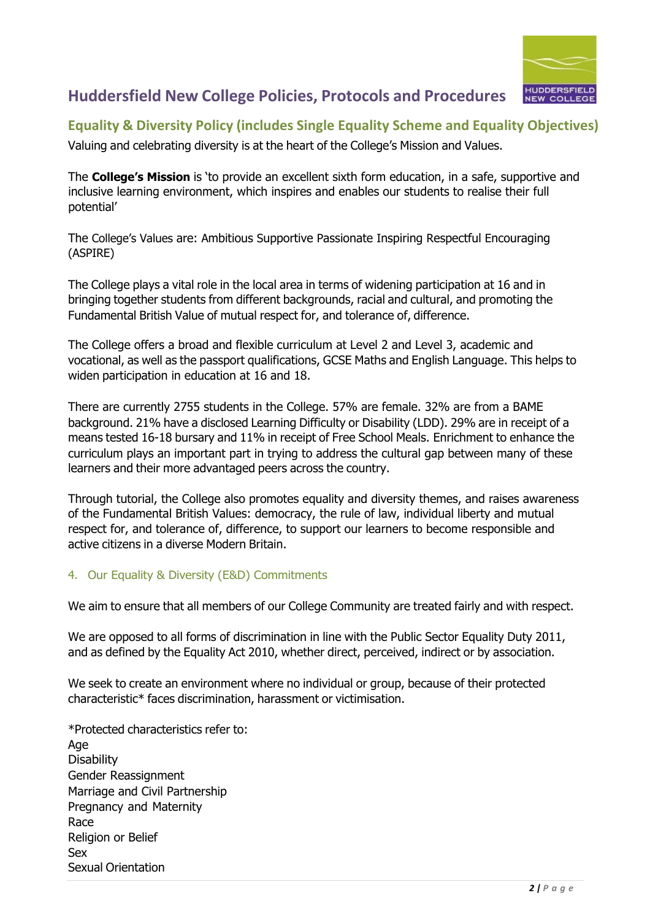

### **Equality & Diversity Policy (includes Single Equality Scheme and Equality Objectives)**

Valuing and celebrating diversity is at the heart of the College's Mission and Values.

The **College's Mission** is 'to provide an excellent sixth form education, in a safe, supportive and inclusive learning environment, which inspires and enables our students to realise their full potential'

The College's Values are: Ambitious Supportive Passionate Inspiring Respectful Encouraging (ASPIRE)

The College plays a vital role in the local area in terms of widening participation at 16 and in bringing together students from different backgrounds, racial and cultural, and promoting the Fundamental British Value of mutual respect for, and tolerance of, difference.

The College offers a broad and flexible curriculum at Level 2 and Level 3, academic and vocational, as well as the passport qualifications, GCSE Maths and English Language. This helps to widen participation in education at 16 and 18.

There are currently 2755 students in the College. 57% are female. 32% are from a BAME background. 21% have a disclosed Learning Difficulty or Disability (LDD). 29% are in receipt of a means tested 16-18 bursary and 11% in receipt of Free School Meals. Enrichment to enhance the curriculum plays an important part in trying to address the cultural gap between many of these learners and their more advantaged peers across the country.

Through tutorial, the College also promotes equality and diversity themes, and raises awareness of the Fundamental British Values: democracy, the rule of law, individual liberty and mutual respect for, and tolerance of, difference, to support our learners to become responsible and active citizens in a diverse Modern Britain.

### 4. Our Equality & Diversity (E&D) Commitments

We aim to ensure that all members of our College Community are treated fairly and with respect.

We are opposed to all forms of discrimination in line with the Public Sector Equality Duty 2011, and as defined by the Equality Act 2010, whether direct, perceived, indirect or by association.

We seek to create an environment where no individual or group, because of their protected characteristic\* faces discrimination, harassment or victimisation.

\*Protected characteristics refer to: Age **Disability** Gender Reassignment Marriage and Civil Partnership Pregnancy and Maternity Race Religion or Belief Sex Sexual Orientation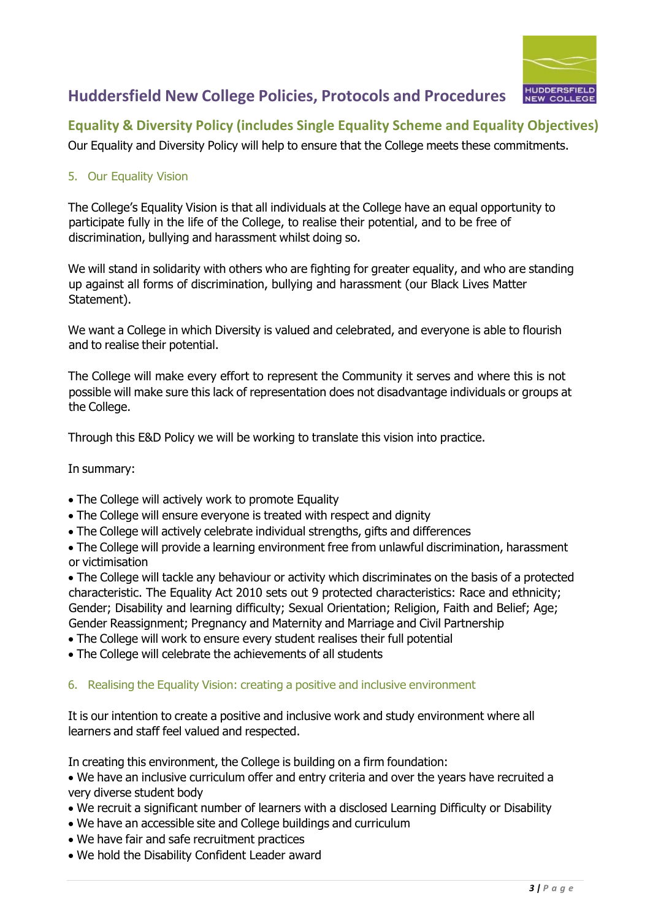

### **Equality & Diversity Policy (includes Single Equality Scheme and Equality Objectives)**

Our Equality and Diversity Policy will help to ensure that the College meets these commitments.

### 5. Our Equality Vision

The College's Equality Vision is that all individuals at the College have an equal opportunity to participate fully in the life of the College, to realise their potential, and to be free of discrimination, bullying and harassment whilst doing so.

We will stand in solidarity with others who are fighting for greater equality, and who are standing up against all forms of discrimination, bullying and harassment (our Black Lives Matter Statement).

We want a College in which Diversity is valued and celebrated, and everyone is able to flourish and to realise their potential.

The College will make every effort to represent the Community it serves and where this is not possible will make sure this lack of representation does not disadvantage individuals or groups at the College.

Through this E&D Policy we will be working to translate this vision into practice.

In summary:

- The College will actively work to promote Equality
- The College will ensure everyone is treated with respect and dignity
- The College will actively celebrate individual strengths, gifts and differences

• The College will provide a learning environment free from unlawful discrimination, harassment or victimisation

• The College will tackle any behaviour or activity which discriminates on the basis of a protected characteristic. The Equality Act 2010 sets out 9 protected characteristics: Race and ethnicity; Gender; Disability and learning difficulty; Sexual Orientation; Religion, Faith and Belief; Age; Gender Reassignment; Pregnancy and Maternity and Marriage and Civil Partnership

- The College will work to ensure every student realises their full potential
- The College will celebrate the achievements of all students

#### 6. Realising the Equality Vision: creating a positive and inclusive environment

It is our intention to create a positive and inclusive work and study environment where all learners and staff feel valued and respected.

In creating this environment, the College is building on a firm foundation:

• We have an inclusive curriculum offer and entry criteria and over the years have recruited a very diverse student body

- We recruit a significant number of learners with a disclosed Learning Difficulty or Disability
- We have an accessible site and College buildings and curriculum
- We have fair and safe recruitment practices
- We hold the Disability Confident Leader award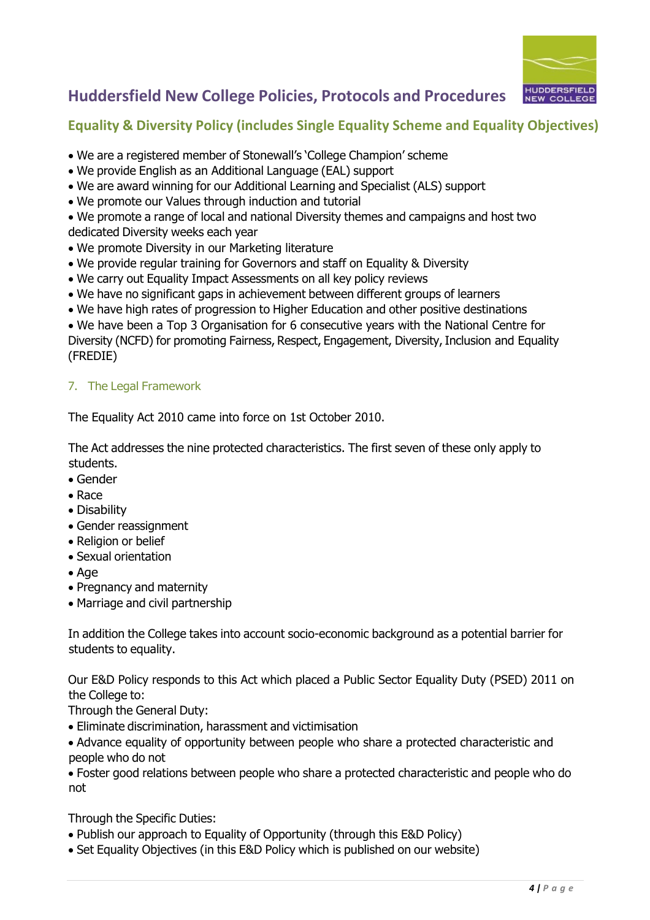

### **Equality & Diversity Policy (includes Single Equality Scheme and Equality Objectives)**

- We are a registered member of Stonewall's 'College Champion' scheme
- We provide English as an Additional Language (EAL) support
- We are award winning for our Additional Learning and Specialist (ALS) support
- We promote our Values through induction and tutorial

• We promote a range of local and national Diversity themes and campaigns and host two dedicated Diversity weeks each year

- We promote Diversity in our Marketing literature
- We provide regular training for Governors and staff on Equality & Diversity
- We carry out Equality Impact Assessments on all key policy reviews
- We have no significant gaps in achievement between different groups of learners
- We have high rates of progression to Higher Education and other positive destinations

• We have been a Top 3 Organisation for 6 consecutive years with the National Centre for Diversity (NCFD) for promoting Fairness, Respect, Engagement, Diversity, Inclusion and Equality (FREDIE)

### 7. The Legal Framework

The Equality Act 2010 came into force on 1st October 2010.

The Act addresses the nine protected characteristics. The first seven of these only apply to students.

- Gender
- Race
- Disability
- Gender reassignment
- Religion or belief
- Sexual orientation
- Age
- Pregnancy and maternity
- Marriage and civil partnership

In addition the College takes into account socio-economic background as a potential barrier for students to equality.

Our E&D Policy responds to this Act which placed a Public Sector Equality Duty (PSED) 2011 on the College to:

Through the General Duty:

• Eliminate discrimination, harassment and victimisation

• Advance equality of opportunity between people who share a protected characteristic and people who do not

• Foster good relations between people who share a protected characteristic and people who do not

Through the Specific Duties:

- Publish our approach to Equality of Opportunity (through this E&D Policy)
- Set Equality Objectives (in this E&D Policy which is published on our website)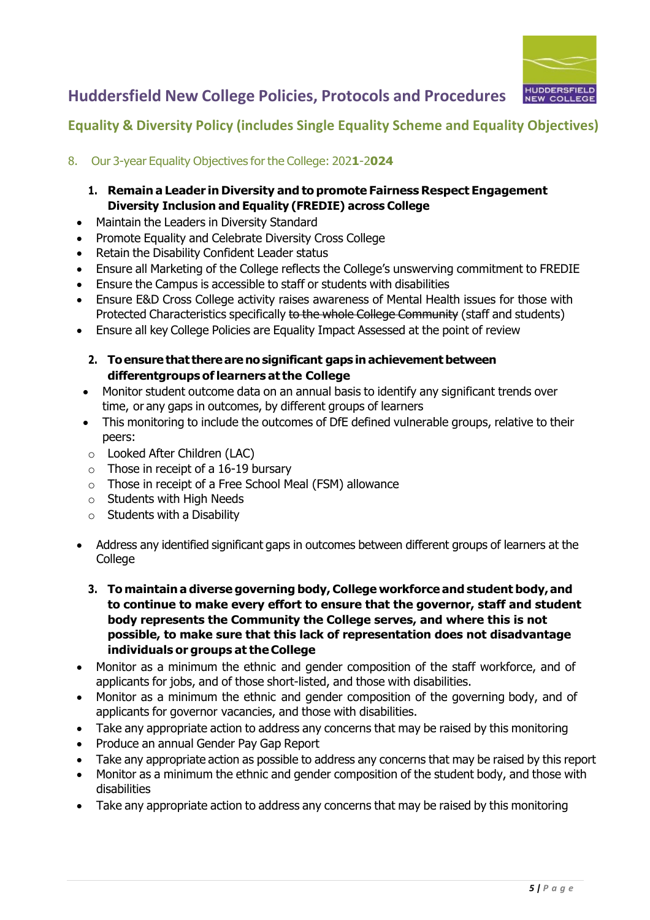

### **Equality & Diversity Policy (includes Single Equality Scheme and Equality Objectives)**

### 8. Our 3-year Equality Objectives for the College: 202**1**-2**024**

- **1. Remain a Leader in Diversity and to promote Fairness Respect Engagement Diversity Inclusion and Equality (FREDIE) across College**
- Maintain the Leaders in Diversity Standard
- Promote Equality and Celebrate Diversity Cross College
- Retain the Disability Confident Leader status
- Ensure all Marketing of the College reflects the College's unswerving commitment to FREDIE
- Ensure the Campus is accessible to staff or students with disabilities
- Ensure E&D Cross College activity raises awareness of Mental Health issues for those with Protected Characteristics specifically to the whole College Community (staff and students)
- Ensure all key College Policies are Equality Impact Assessed at the point of review
	- **2. Toensure that therearenosignificant gaps in achievement between differentgroups oflearners at the College**
	- Monitor student outcome data on an annual basis to identify any significant trends over time, or any gaps in outcomes, by different groups of learners
	- This monitoring to include the outcomes of DfE defined vulnerable groups, relative to their peers:
	- o Looked After Children (LAC)
	- $\circ$  Those in receipt of a 16-19 bursary
	- o Those in receipt of a Free School Meal (FSM) allowance
	- o Students with High Needs
	- $\circ$  Students with a Disability
- Address any identified significant gaps in outcomes between different groups of learners at the **College** 
	- **3. To maintain a diverse governing body, College workforce and student body,and to continue to make every effort to ensure that the governor, staff and student body represents the Community the College serves, and where this is not possible, to make sure that this lack of representation does not disadvantage individuals or groups at theCollege**
- Monitor as a minimum the ethnic and gender composition of the staff workforce, and of applicants for jobs, and of those short-listed, and those with disabilities.
- Monitor as a minimum the ethnic and gender composition of the governing body, and of applicants for governor vacancies, and those with disabilities.
- Take any appropriate action to address any concerns that may be raised by this monitoring
- Produce an annual Gender Pay Gap Report
- Take any appropriate action as possible to address any concerns that may be raised by this report
- Monitor as a minimum the ethnic and gender composition of the student body, and those with disabilities
- Take any appropriate action to address any concerns that may be raised by this monitoring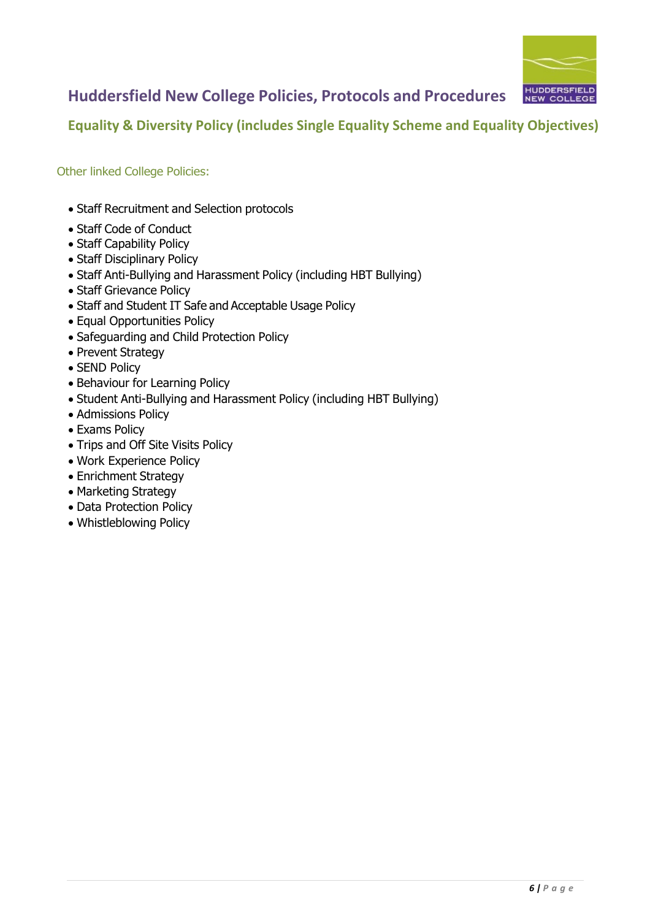

**Equality & Diversity Policy (includes Single Equality Scheme and Equality Objectives)**

Other linked College Policies:

- Staff Recruitment and Selection protocols
- Staff Code of Conduct
- Staff Capability Policy
- Staff Disciplinary Policy
- Staff Anti-Bullying and Harassment Policy (including HBT Bullying)
- Staff Grievance Policy
- Staff and Student IT Safe and Acceptable Usage Policy
- Equal Opportunities Policy
- Safeguarding and Child Protection Policy
- Prevent Strategy
- SEND Policy
- Behaviour for Learning Policy
- Student Anti-Bullying and Harassment Policy (including HBT Bullying)
- Admissions Policy
- Exams Policy
- Trips and Off Site Visits Policy
- Work Experience Policy
- Enrichment Strategy
- Marketing Strategy
- Data Protection Policy
- Whistleblowing Policy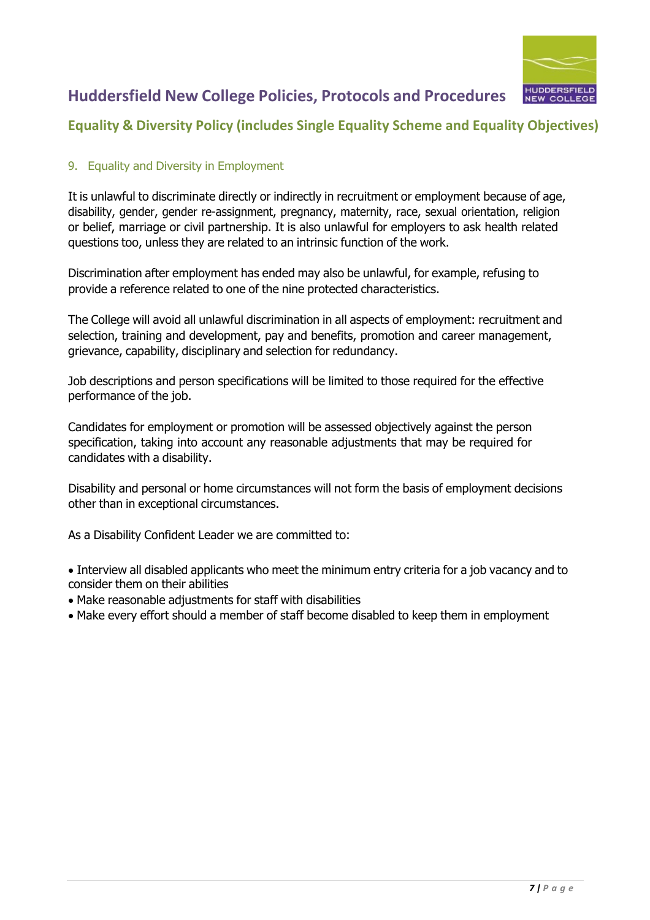

### **Equality & Diversity Policy (includes Single Equality Scheme and Equality Objectives)**

### 9. Equality and Diversity in Employment

It is unlawful to discriminate directly or indirectly in recruitment or employment because of age, disability, gender, gender re-assignment, pregnancy, maternity, race, sexual orientation, religion or belief, marriage or civil partnership. It is also unlawful for employers to ask health related questions too, unless they are related to an intrinsic function of the work.

Discrimination after employment has ended may also be unlawful, for example, refusing to provide a reference related to one of the nine protected characteristics.

The College will avoid all unlawful discrimination in all aspects of employment: recruitment and selection, training and development, pay and benefits, promotion and career management, grievance, capability, disciplinary and selection for redundancy.

Job descriptions and person specifications will be limited to those required for the effective performance of the job.

Candidates for employment or promotion will be assessed objectively against the person specification, taking into account any reasonable adjustments that may be required for candidates with a disability.

Disability and personal or home circumstances will not form the basis of employment decisions other than in exceptional circumstances.

As a Disability Confident Leader we are committed to:

• Interview all disabled applicants who meet the minimum entry criteria for a job vacancy and to consider them on their abilities

- Make reasonable adjustments for staff with disabilities
- Make every effort should a member of staff become disabled to keep them in employment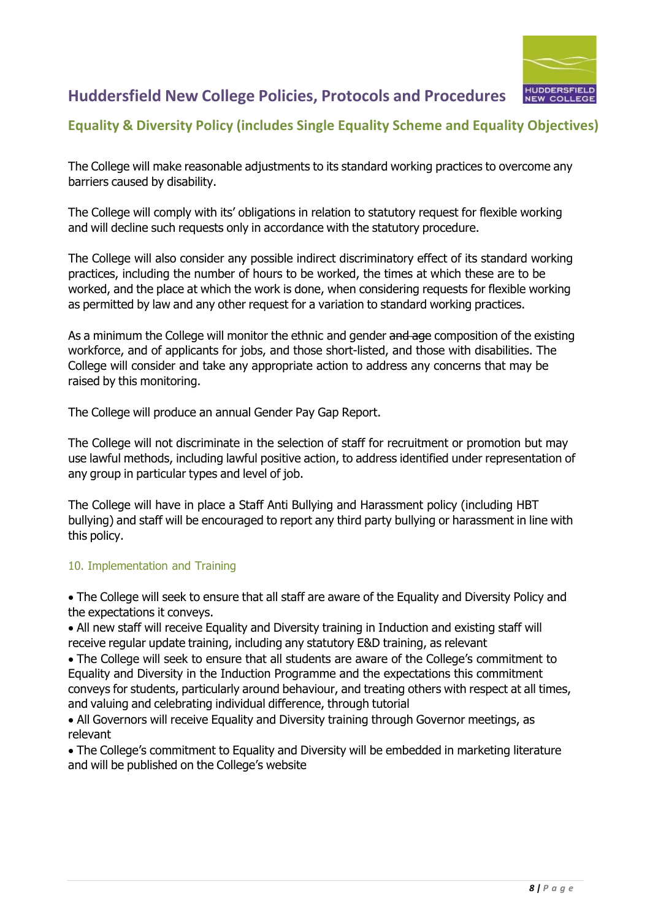

### **Equality & Diversity Policy (includes Single Equality Scheme and Equality Objectives)**

The College will make reasonable adjustments to its standard working practices to overcome any barriers caused by disability.

The College will comply with its' obligations in relation to statutory request for flexible working and will decline such requests only in accordance with the statutory procedure.

The College will also consider any possible indirect discriminatory effect of its standard working practices, including the number of hours to be worked, the times at which these are to be worked, and the place at which the work is done, when considering requests for flexible working as permitted by law and any other request for a variation to standard working practices.

As a minimum the College will monitor the ethnic and gender and age composition of the existing workforce, and of applicants for jobs, and those short-listed, and those with disabilities. The College will consider and take any appropriate action to address any concerns that may be raised by this monitoring.

The College will produce an annual Gender Pay Gap Report.

The College will not discriminate in the selection of staff for recruitment or promotion but may use lawful methods, including lawful positive action, to address identified under representation of any group in particular types and level of job.

The College will have in place a Staff Anti Bullying and Harassment policy (including HBT bullying) and staff will be encouraged to report any third party bullying or harassment in line with this policy.

### 10. Implementation and Training

• The College will seek to ensure that all staff are aware of the Equality and Diversity Policy and the expectations it conveys.

• All new staff will receive Equality and Diversity training in Induction and existing staff will receive regular update training, including any statutory E&D training, as relevant

• The College will seek to ensure that all students are aware of the College's commitment to Equality and Diversity in the Induction Programme and the expectations this commitment conveys for students, particularly around behaviour, and treating others with respect at all times, and valuing and celebrating individual difference, through tutorial

• All Governors will receive Equality and Diversity training through Governor meetings, as relevant

• The College's commitment to Equality and Diversity will be embedded in marketing literature and will be published on the College's website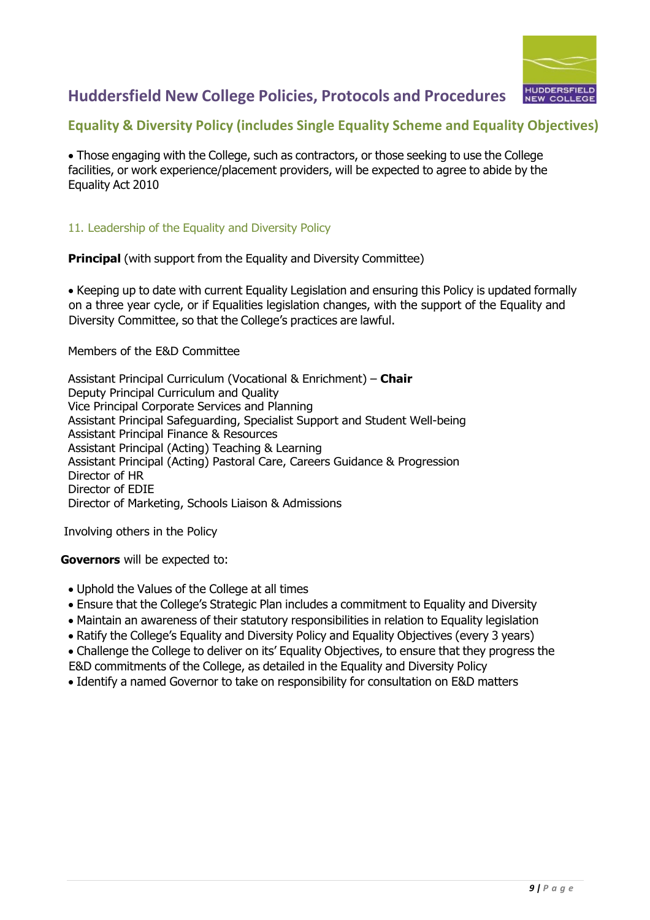

### **Equality & Diversity Policy (includes Single Equality Scheme and Equality Objectives)**

• Those engaging with the College, such as contractors, or those seeking to use the College facilities, or work experience/placement providers, will be expected to agree to abide by the Equality Act 2010

#### 11. Leadership of the Equality and Diversity Policy

**Principal** (with support from the Equality and Diversity Committee)

• Keeping up to date with current Equality Legislation and ensuring this Policy is updated formally on a three year cycle, or if Equalities legislation changes, with the support of the Equality and Diversity Committee, so that the College's practices are lawful.

Members of the E&D Committee

Assistant Principal Curriculum (Vocational & Enrichment) – **Chair** Deputy Principal Curriculum and Quality Vice Principal Corporate Services and Planning Assistant Principal Safeguarding, Specialist Support and Student Well-being Assistant Principal Finance & Resources Assistant Principal (Acting) Teaching & Learning Assistant Principal (Acting) Pastoral Care, Careers Guidance & Progression Director of HR Director of EDIE Director of Marketing, Schools Liaison & Admissions

Involving others in the Policy

**Governors** will be expected to:

- Uphold the Values of the College at all times
- Ensure that the College's Strategic Plan includes a commitment to Equality and Diversity
- Maintain an awareness of their statutory responsibilities in relation to Equality legislation
- Ratify the College's Equality and Diversity Policy and Equality Objectives (every 3 years)
- Challenge the College to deliver on its' Equality Objectives, to ensure that they progress the E&D commitments of the College, as detailed in the Equality and Diversity Policy
- Identify a named Governor to take on responsibility for consultation on E&D matters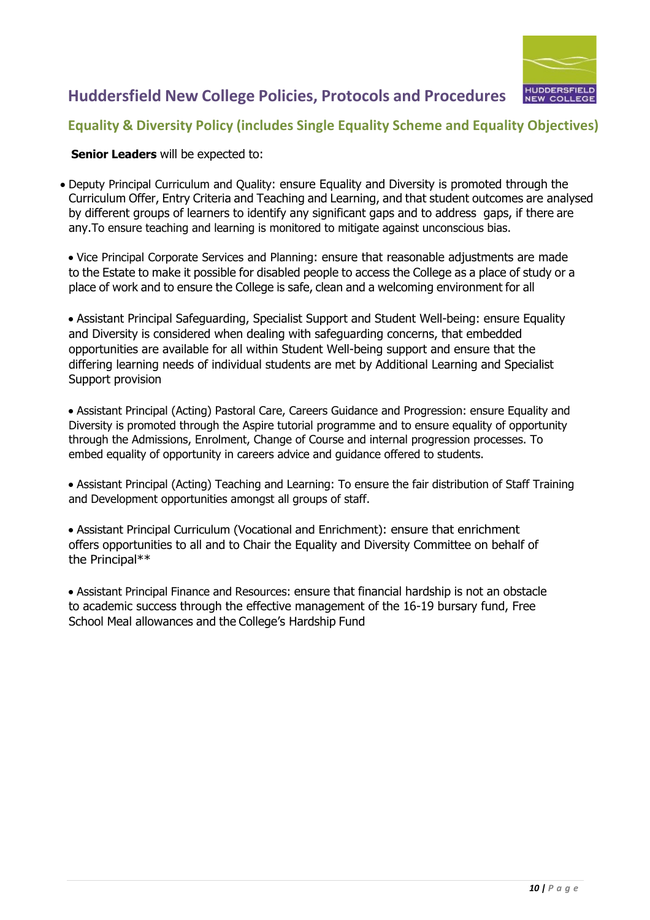

### **Equality & Diversity Policy (includes Single Equality Scheme and Equality Objectives)**

#### **Senior Leaders** will be expected to:

• Deputy Principal Curriculum and Quality: ensure Equality and Diversity is promoted through the Curriculum Offer, Entry Criteria and Teaching and Learning, and that student outcomes are analysed by different groups of learners to identify any significant gaps and to address gaps, if there are any.To ensure teaching and learning is monitored to mitigate against unconscious bias.

• Vice Principal Corporate Services and Planning: ensure that reasonable adjustments are made to the Estate to make it possible for disabled people to access the College as a place of study or a place of work and to ensure the College is safe, clean and a welcoming environment for all

• Assistant Principal Safeguarding, Specialist Support and Student Well-being: ensure Equality and Diversity is considered when dealing with safeguarding concerns, that embedded opportunities are available for all within Student Well-being support and ensure that the differing learning needs of individual students are met by Additional Learning and Specialist Support provision

• Assistant Principal (Acting) Pastoral Care, Careers Guidance and Progression: ensure Equality and Diversity is promoted through the Aspire tutorial programme and to ensure equality of opportunity through the Admissions, Enrolment, Change of Course and internal progression processes. To embed equality of opportunity in careers advice and guidance offered to students.

• Assistant Principal (Acting) Teaching and Learning: To ensure the fair distribution of Staff Training and Development opportunities amongst all groups of staff.

• Assistant Principal Curriculum (Vocational and Enrichment): ensure that enrichment offers opportunities to all and to Chair the Equality and Diversity Committee on behalf of the Principal\*\*

• Assistant Principal Finance and Resources: ensure that financial hardship is not an obstacle to academic success through the effective management of the 16-19 bursary fund, Free School Meal allowances and the College's Hardship Fund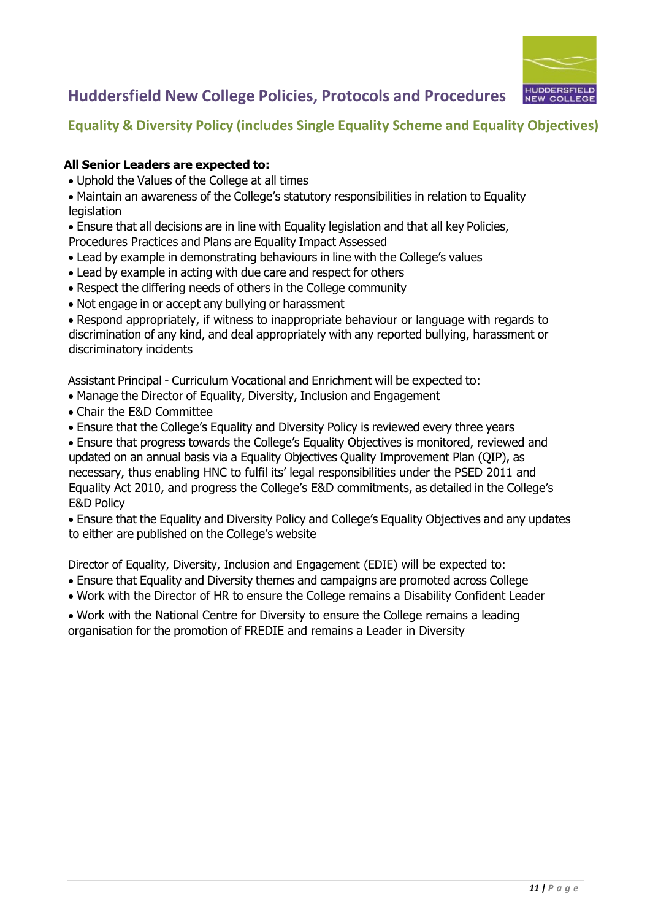

### **Equality & Diversity Policy (includes Single Equality Scheme and Equality Objectives)**

### **All Senior Leaders are expected to:**

- Uphold the Values of the College at all times
- Maintain an awareness of the College's statutory responsibilities in relation to Equality **legislation**
- Ensure that all decisions are in line with Equality legislation and that all key Policies,
- Procedures Practices and Plans are Equality Impact Assessed • Lead by example in demonstrating behaviours in line with the College's values
- Lead by example in acting with due care and respect for others
- Respect the differing needs of others in the College community
- Not engage in or accept any bullying or harassment

• Respond appropriately, if witness to inappropriate behaviour or language with regards to discrimination of any kind, and deal appropriately with any reported bullying, harassment or discriminatory incidents

Assistant Principal - Curriculum Vocational and Enrichment will be expected to:

- Manage the Director of Equality, Diversity, Inclusion and Engagement
- Chair the E&D Committee
- Ensure that the College's Equality and Diversity Policy is reviewed every three years

• Ensure that progress towards the College's Equality Objectives is monitored, reviewed and updated on an annual basis via a Equality Objectives Quality Improvement Plan (QIP), as necessary, thus enabling HNC to fulfil its' legal responsibilities under the PSED 2011 and Equality Act 2010, and progress the College's E&D commitments, as detailed in the College's E&D Policy

• Ensure that the Equality and Diversity Policy and College's Equality Objectives and any updates to either are published on the College's website

Director of Equality, Diversity, Inclusion and Engagement (EDIE) will be expected to:

- Ensure that Equality and Diversity themes and campaigns are promoted across College
- Work with the Director of HR to ensure the College remains a Disability Confident Leader

• Work with the National Centre for Diversity to ensure the College remains a leading organisation for the promotion of FREDIE and remains a Leader in Diversity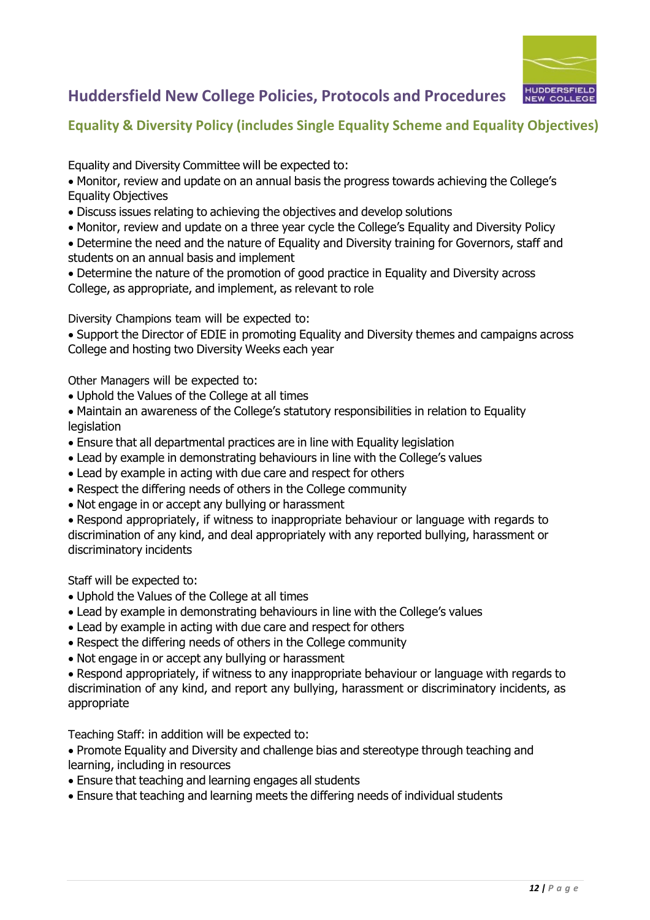

### **Equality & Diversity Policy (includes Single Equality Scheme and Equality Objectives)**

Equality and Diversity Committee will be expected to:

- Monitor, review and update on an annual basis the progress towards achieving the College's Equality Objectives
- Discuss issues relating to achieving the objectives and develop solutions
- Monitor, review and update on a three year cycle the College's Equality and Diversity Policy
- Determine the need and the nature of Equality and Diversity training for Governors, staff and students on an annual basis and implement
- Determine the nature of the promotion of good practice in Equality and Diversity across College, as appropriate, and implement, as relevant to role

Diversity Champions team will be expected to:

• Support the Director of EDIE in promoting Equality and Diversity themes and campaigns across College and hosting two Diversity Weeks each year

Other Managers will be expected to:

- Uphold the Values of the College at all times
- Maintain an awareness of the College's statutory responsibilities in relation to Equality **legislation**
- Ensure that all departmental practices are in line with Equality legislation
- Lead by example in demonstrating behaviours in line with the College's values
- Lead by example in acting with due care and respect for others
- Respect the differing needs of others in the College community
- Not engage in or accept any bullying or harassment

• Respond appropriately, if witness to inappropriate behaviour or language with regards to discrimination of any kind, and deal appropriately with any reported bullying, harassment or discriminatory incidents

Staff will be expected to:

- Uphold the Values of the College at all times
- Lead by example in demonstrating behaviours in line with the College's values
- Lead by example in acting with due care and respect for others
- Respect the differing needs of others in the College community
- Not engage in or accept any bullying or harassment

• Respond appropriately, if witness to any inappropriate behaviour or language with regards to discrimination of any kind, and report any bullying, harassment or discriminatory incidents, as appropriate

Teaching Staff: in addition will be expected to:

• Promote Equality and Diversity and challenge bias and stereotype through teaching and learning, including in resources

- Ensure that teaching and learning engages all students
- Ensure that teaching and learning meets the differing needs of individual students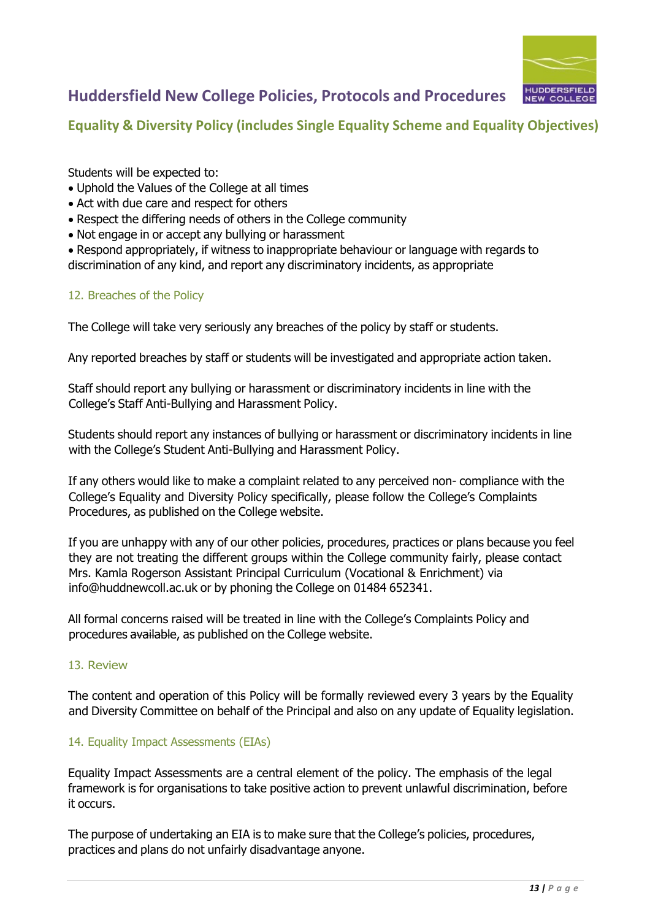

### **Equality & Diversity Policy (includes Single Equality Scheme and Equality Objectives)**

Students will be expected to:

- Uphold the Values of the College at all times
- Act with due care and respect for others
- Respect the differing needs of others in the College community
- Not engage in or accept any bullying or harassment

• Respond appropriately, if witness to inappropriate behaviour or language with regards to discrimination of any kind, and report any discriminatory incidents, as appropriate

### 12. Breaches of the Policy

The College will take very seriously any breaches of the policy by staff or students.

Any reported breaches by staff or students will be investigated and appropriate action taken.

Staff should report any bullying or harassment or discriminatory incidents in line with the College's Staff Anti-Bullying and Harassment Policy.

Students should report any instances of bullying or harassment or discriminatory incidents in line with the College's Student Anti-Bullying and Harassment Policy.

If any others would like to make a complaint related to any perceived non- compliance with the College's Equality and Diversity Policy specifically, please follow the College's Complaints Procedures, as published on the College website.

If you are unhappy with any of our other policies, procedures, practices or plans because you feel they are not treating the different groups within the College community fairly, please contact Mrs. Kamla Rogerson Assistant Principal Curriculum (Vocational & Enrichment) via info@huddnewcoll.ac.uk or by phoning the College on 01484 652341.

All formal concerns raised will be treated in line with the College's Complaints Policy and procedures available, as published on the College website.

### 13. Review

The content and operation of this Policy will be formally reviewed every 3 years by the Equality and Diversity Committee on behalf of the Principal and also on any update of Equality legislation.

### 14. Equality Impact Assessments (EIAs)

Equality Impact Assessments are a central element of the policy. The emphasis of the legal framework is for organisations to take positive action to prevent unlawful discrimination, before it occurs.

The purpose of undertaking an EIA is to make sure that the College's policies, procedures, practices and plans do not unfairly disadvantage anyone.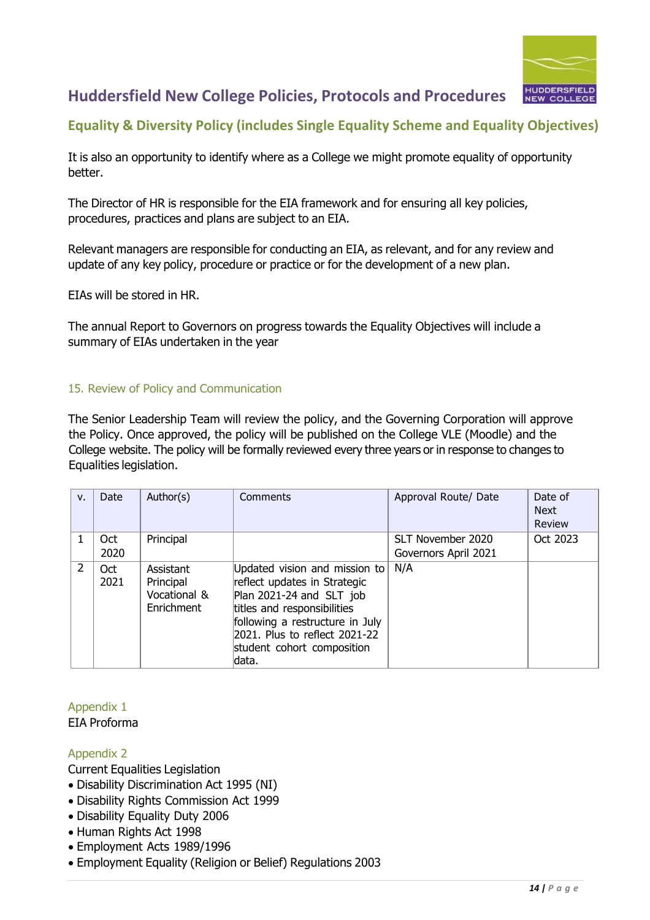

### **Equality & Diversity Policy (includes Single Equality Scheme and Equality Objectives)**

It is also an opportunity to identify where as a College we might promote equality of opportunity better.

The Director of HR is responsible for the EIA framework and for ensuring all key policies, procedures, practices and plans are subject to an EIA.

Relevant managers are responsible for conducting an EIA, as relevant, and for any review and update of any key policy, procedure or practice or for the development of a new plan.

EIAs will be stored in HR.

The annual Report to Governors on progress towards the Equality Objectives will include a summary of EIAs undertaken in the year

#### 15. Review of Policy and Communication

The Senior Leadership Team will review the policy, and the Governing Corporation will approve the Policy. Once approved, the policy will be published on the College VLE (Moodle) and the College website. The policy will be formally reviewed every three years or in response to changes to Equalities legislation.

| V.             | Date        | Author(s)                                            | Comments                                                                                                                                                                                                                             | Approval Route/ Date | Date of<br><b>Next</b><br>Review |
|----------------|-------------|------------------------------------------------------|--------------------------------------------------------------------------------------------------------------------------------------------------------------------------------------------------------------------------------------|----------------------|----------------------------------|
|                | Oct         | Principal                                            |                                                                                                                                                                                                                                      | SLT November 2020    | Oct 2023                         |
|                | 2020        |                                                      |                                                                                                                                                                                                                                      | Governors April 2021 |                                  |
| $\overline{2}$ | Oct<br>2021 | Assistant<br>Principal<br>Vocational &<br>Enrichment | Updated vision and mission to<br>reflect updates in Strategic<br>Plan 2021-24 and SLT job<br>titles and responsibilities<br>following a restructure in July<br>2021, Plus to reflect 2021-22<br>student cohort composition<br>ldata. | N/A                  |                                  |

### Appendix 1

EIA Proforma

#### Appendix 2

Current Equalities Legislation

- Disability Discrimination Act 1995 (NI)
- Disability Rights Commission Act 1999
- Disability Equality Duty 2006
- Human Rights Act 1998
- Employment Acts 1989/1996
- Employment Equality (Religion or Belief) Regulations 2003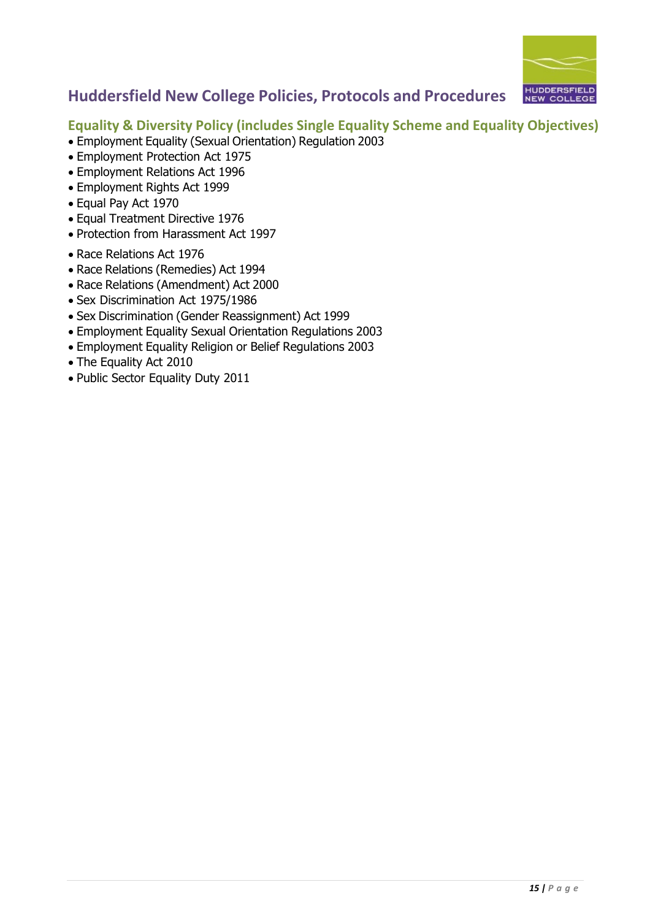

**Equality & Diversity Policy (includes Single Equality Scheme and Equality Objectives)**

- Employment Equality (Sexual Orientation) Regulation 2003
- Employment Protection Act 1975
- Employment Relations Act 1996
- Employment Rights Act 1999
- Equal Pay Act 1970
- Equal Treatment Directive 1976
- Protection from Harassment Act 1997
- Race Relations Act 1976
- Race Relations (Remedies) Act 1994
- Race Relations (Amendment) Act 2000
- Sex Discrimination Act 1975/1986
- Sex Discrimination (Gender Reassignment) Act 1999
- Employment Equality Sexual Orientation Regulations 2003
- Employment Equality Religion or Belief Regulations 2003
- The Equality Act 2010
- Public Sector Equality Duty 2011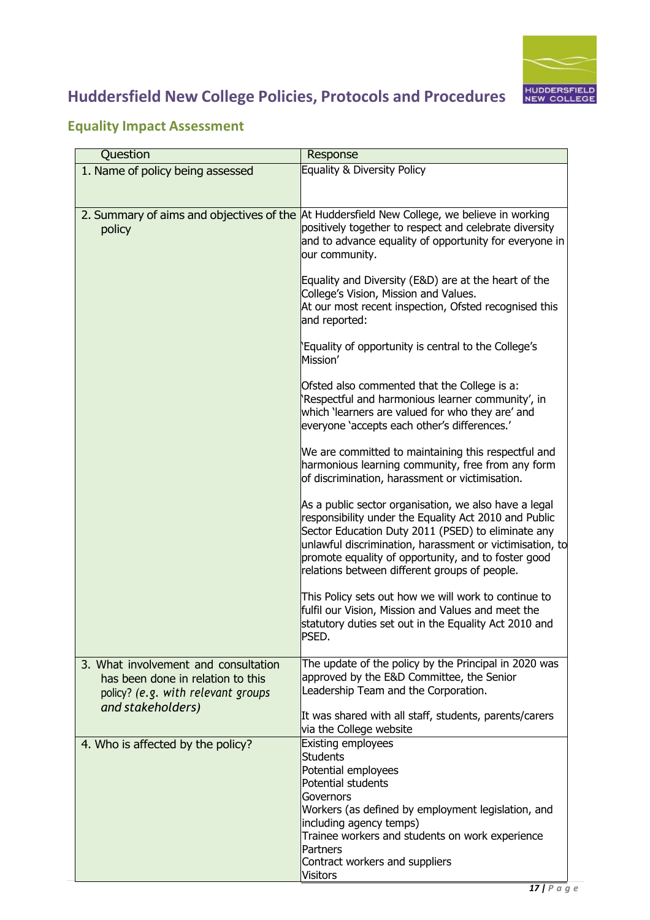

## **Equality Impact Assessment**

| Question                                                                                                                             | Response                                                                                                                                                                                                                                                                                                                                 |
|--------------------------------------------------------------------------------------------------------------------------------------|------------------------------------------------------------------------------------------------------------------------------------------------------------------------------------------------------------------------------------------------------------------------------------------------------------------------------------------|
| 1. Name of policy being assessed                                                                                                     | Equality & Diversity Policy                                                                                                                                                                                                                                                                                                              |
|                                                                                                                                      |                                                                                                                                                                                                                                                                                                                                          |
|                                                                                                                                      |                                                                                                                                                                                                                                                                                                                                          |
| policy                                                                                                                               | 2. Summary of aims and objectives of the At Huddersfield New College, we believe in working<br>positively together to respect and celebrate diversity<br>and to advance equality of opportunity for everyone in<br>our community.                                                                                                        |
|                                                                                                                                      | Equality and Diversity (E&D) are at the heart of the<br>College's Vision, Mission and Values.<br>At our most recent inspection, Ofsted recognised this<br>and reported:                                                                                                                                                                  |
|                                                                                                                                      | 'Equality of opportunity is central to the College's<br>Mission'                                                                                                                                                                                                                                                                         |
|                                                                                                                                      | Ofsted also commented that the College is a:<br>'Respectful and harmonious learner community', in<br>which 'learners are valued for who they are' and<br>everyone 'accepts each other's differences.'                                                                                                                                    |
|                                                                                                                                      | We are committed to maintaining this respectful and<br>harmonious learning community, free from any form<br>of discrimination, harassment or victimisation.                                                                                                                                                                              |
|                                                                                                                                      | As a public sector organisation, we also have a legal<br>responsibility under the Equality Act 2010 and Public<br>Sector Education Duty 2011 (PSED) to eliminate any<br>unlawful discrimination, harassment or victimisation, to<br>promote equality of opportunity, and to foster good<br>relations between different groups of people. |
|                                                                                                                                      | This Policy sets out how we will work to continue to<br>fulfil our Vision, Mission and Values and meet the<br>statutory duties set out in the Equality Act 2010 and<br><b>PSED.</b>                                                                                                                                                      |
| 3. What involvement and consultation<br>has been done in relation to this<br>policy? (e.g. with relevant groups<br>and stakeholders) | The update of the policy by the Principal in 2020 was<br>approved by the E&D Committee, the Senior<br>Leadership Team and the Corporation.<br>It was shared with all staff, students, parents/carers                                                                                                                                     |
|                                                                                                                                      | via the College website                                                                                                                                                                                                                                                                                                                  |
| 4. Who is affected by the policy?                                                                                                    | Existing employees<br><b>Students</b><br>Potential employees<br><b>Potential students</b><br>Governors<br>Workers (as defined by employment legislation, and<br>including agency temps)<br>Trainee workers and students on work experience<br>Partners                                                                                   |
|                                                                                                                                      | Contract workers and suppliers<br><b>Visitors</b>                                                                                                                                                                                                                                                                                        |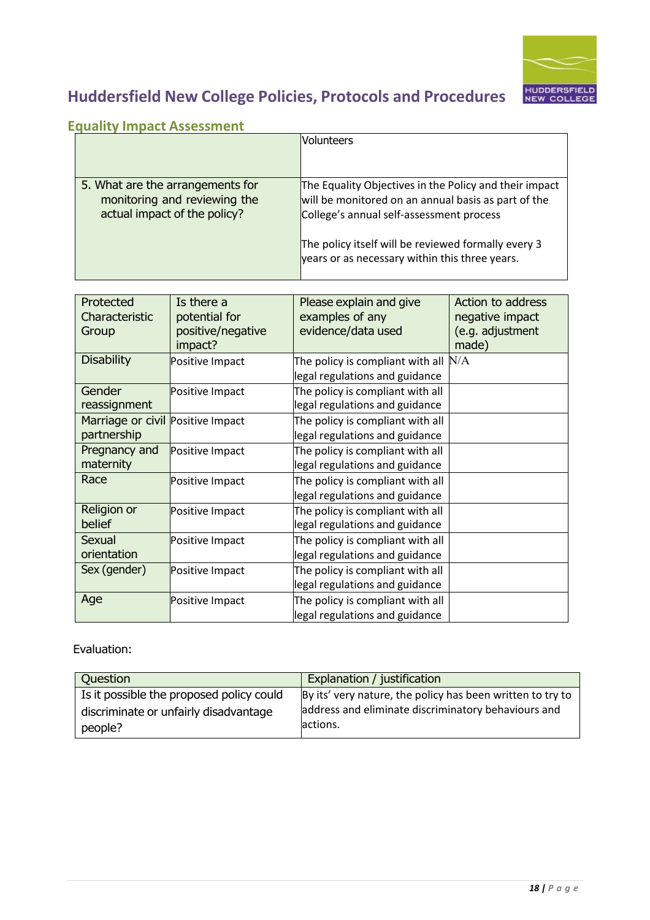

### **Equality Impact Assessment**

|                                                                                                  | <b>Volunteers</b>                                                                                                                                         |
|--------------------------------------------------------------------------------------------------|-----------------------------------------------------------------------------------------------------------------------------------------------------------|
| 5. What are the arrangements for<br>monitoring and reviewing the<br>actual impact of the policy? | The Equality Objectives in the Policy and their impact<br>will be monitored on an annual basis as part of the<br>College's annual self-assessment process |
|                                                                                                  | The policy itself will be reviewed formally every 3<br>years or as necessary within this three years.                                                     |

| Protected<br>Characteristic<br>Group             | Is there a<br>potential for<br>positive/negative<br>impact? | Please explain and give<br>examples of any<br>evidence/data used         | Action to address<br>negative impact<br>(e.g. adjustment<br>made) |
|--------------------------------------------------|-------------------------------------------------------------|--------------------------------------------------------------------------|-------------------------------------------------------------------|
| <b>Disability</b>                                | Positive Impact                                             | The policy is compliant with all $N/A$<br>legal regulations and guidance |                                                                   |
| Gender<br>reassignment                           | Positive Impact                                             | The policy is compliant with all<br>legal regulations and guidance       |                                                                   |
| Marriage or civil Positive Impact<br>partnership |                                                             | The policy is compliant with all<br>legal regulations and guidance       |                                                                   |
| Pregnancy and<br>maternity                       | Positive Impact                                             | The policy is compliant with all<br>legal regulations and guidance       |                                                                   |
| Race                                             | Positive Impact                                             | The policy is compliant with all<br>legal regulations and guidance       |                                                                   |
| Religion or<br>belief                            | Positive Impact                                             | The policy is compliant with all<br>legal regulations and guidance       |                                                                   |
| Sexual<br>orientation                            | Positive Impact                                             | The policy is compliant with all<br>legal regulations and guidance       |                                                                   |
| Sex (gender)                                     | Positive Impact                                             | The policy is compliant with all<br>legal regulations and guidance       |                                                                   |
| Age                                              | Positive Impact                                             | The policy is compliant with all<br>legal regulations and guidance       |                                                                   |

### Evaluation:

| Question                                 | Explanation / justification                                |
|------------------------------------------|------------------------------------------------------------|
| Is it possible the proposed policy could | By its' very nature, the policy has been written to try to |
| discriminate or unfairly disadvantage    | address and eliminate discriminatory behaviours and        |
| people?                                  | lactions.                                                  |